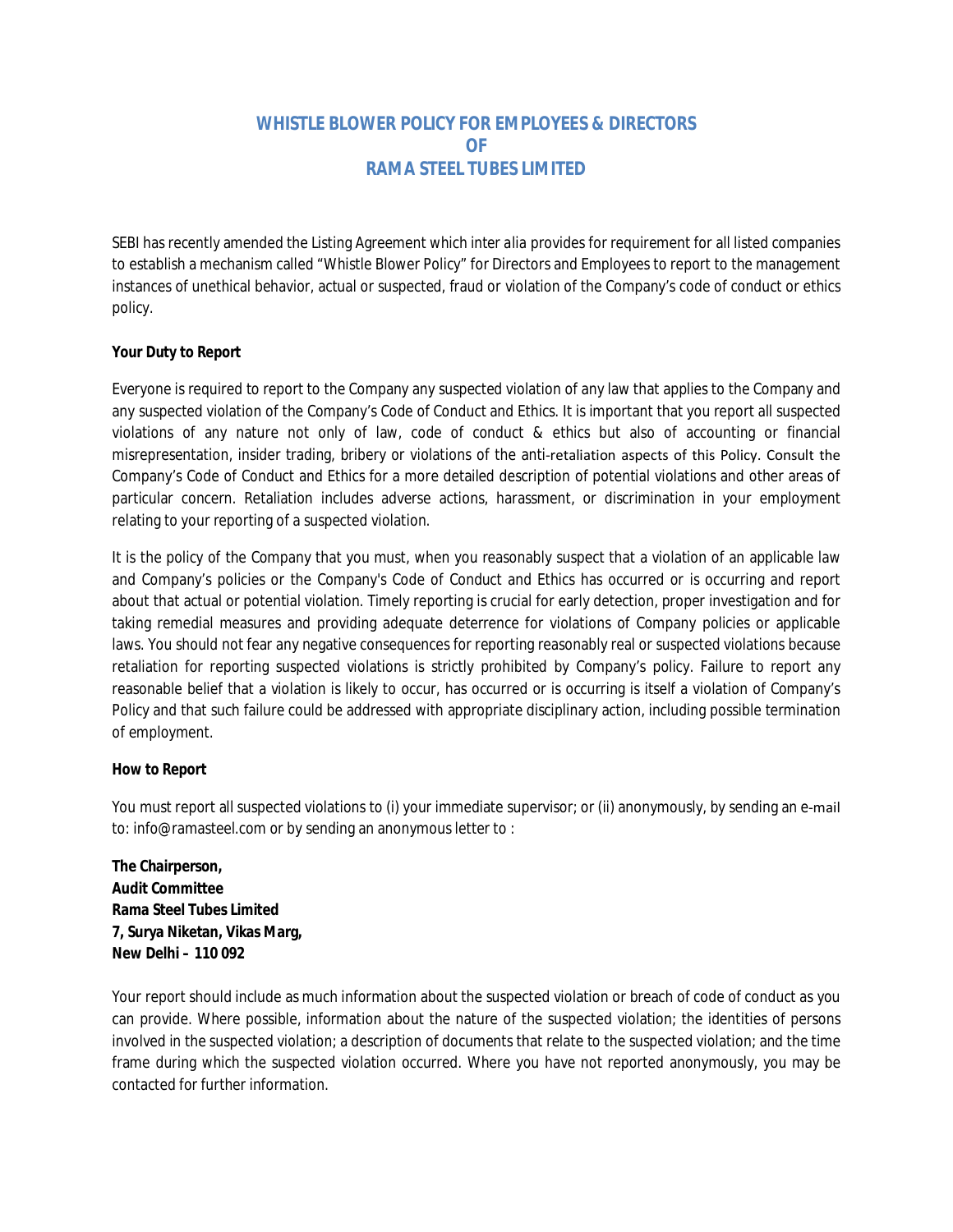# *WHISTLE BLOWER POLICY FOR EMPLOYEES & DIRECTORS OF RAMA STEEL TUBES LIMITED*

SEBI has recently amended the Listing Agreement which *inter alia* provides for requirement for all listed companies to establish a mechanism called "Whistle Blower Policy" for Directors and Employees to report to the management instances of unethical behavior, actual or suspected, fraud or violation of the Company's code of conduct or ethics policy.

# *Your Duty to Report*

Everyone is required to report to the Company any suspected violation of any law that applies to the Company and any suspected violation of the Company's Code of Conduct and Ethics. It is important that you report all suspected violations of any nature not only of law, code of conduct & ethics but also of accounting or financial misrepresentation, insider trading, bribery or violations of the anti-retaliation aspects of this Policy. Consult the Company's Code of Conduct and Ethics for a more detailed description of potential violations and other areas of particular concern. Retaliation includes adverse actions, harassment, or discrimination in your employment relating to your reporting of a suspected violation.

It is the policy of the Company that you must, when you reasonably suspect that a violation of an applicable law and Company's policies or the Company's Code of Conduct and Ethics has occurred or is occurring and report about that actual or potential violation. Timely reporting is crucial for early detection, proper investigation and for taking remedial measures and providing adequate deterrence for violations of Company policies or applicable laws. You should not fear any negative consequences for reporting reasonably real or suspected violations because retaliation for reporting suspected violations is strictly prohibited by Company's policy. Failure to report any reasonable belief that a violation is likely to occur, has occurred or is occurring is itself a violation of Company's Policy and that such failure could be addressed with appropriate disciplinary action, including possible termination of employment.

# *How to Report*

You must report all suspected violations to (i) your immediate supervisor; or (ii) anonymously, by sending an e-mail to: info@ramasteel.com or by sending an anonymous letter to :

**The Chairperson, Audit Committee Rama Steel Tubes Limited 7, Surya Niketan, Vikas Marg, New Delhi – 110 092**

Your report should include as much information about the suspected violation or breach of code of conduct as you can provide. Where possible, information about the nature of the suspected violation; the identities of persons involved in the suspected violation; a description of documents that relate to the suspected violation; and the time frame during which the suspected violation occurred. Where you have not reported anonymously, you may be contacted for further information.